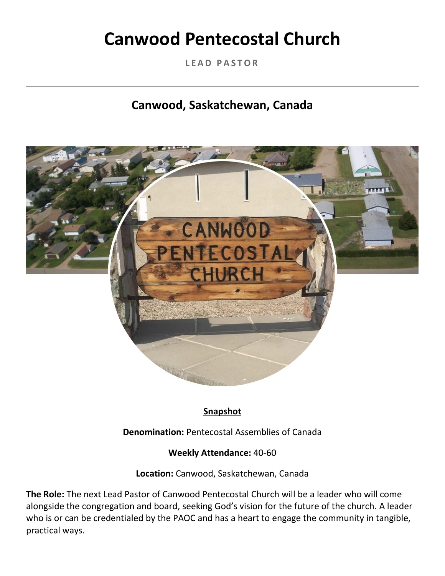# **Canwood Pentecostal Church**

**L E A D P A S T O R**

# **Canwood, Saskatchewan, Canada**



# **Snapshot**

**Denomination:** Pentecostal Assemblies of Canada

#### **Weekly Attendance:** 40-60

**Location:** Canwood, Saskatchewan, Canada

**The Role:** The next Lead Pastor of Canwood Pentecostal Church will be a leader who will come alongside the congregation and board, seeking God's vision for the future of the church. A leader who is or can be credentialed by the PAOC and has a heart to engage the community in tangible, practical ways.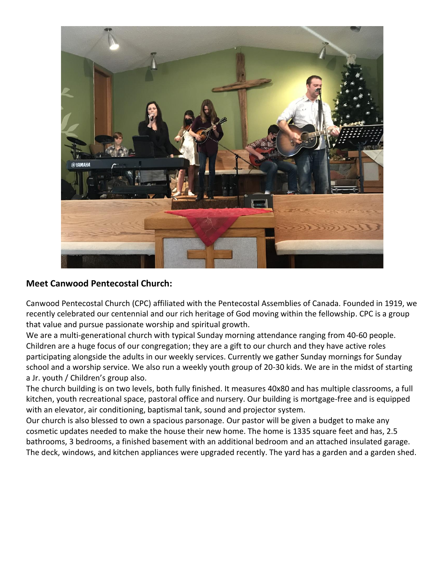

#### **Meet Canwood Pentecostal Church:**

Canwood Pentecostal Church (CPC) affiliated with the Pentecostal Assemblies of Canada. Founded in 1919, we recently celebrated our centennial and our rich heritage of God moving within the fellowship. CPC is a group that value and pursue passionate worship and spiritual growth.

We are a multi-generational church with typical Sunday morning attendance ranging from 40-60 people. Children are a huge focus of our congregation; they are a gift to our church and they have active roles participating alongside the adults in our weekly services. Currently we gather Sunday mornings for Sunday school and a worship service. We also run a weekly youth group of 20-30 kids. We are in the midst of starting a Jr. youth / Children's group also.

The church building is on two levels, both fully finished. It measures 40x80 and has multiple classrooms, a full kitchen, youth recreational space, pastoral office and nursery. Our building is mortgage-free and is equipped with an elevator, air conditioning, baptismal tank, sound and projector system.

Our church is also blessed to own a spacious parsonage. Our pastor will be given a budget to make any cosmetic updates needed to make the house their new home. The home is 1335 square feet and has, 2.5 bathrooms, 3 bedrooms, a finished basement with an additional bedroom and an attached insulated garage. The deck, windows, and kitchen appliances were upgraded recently. The yard has a garden and a garden shed.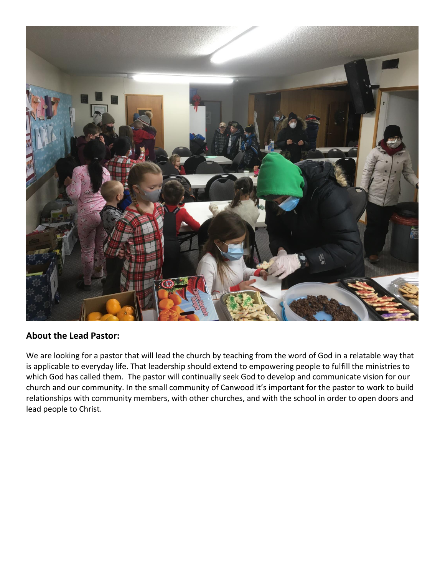

#### **About the Lead Pastor:**

We are looking for a pastor that will lead the church by teaching from the word of God in a relatable way that is applicable to everyday life. That leadership should extend to empowering people to fulfill the ministries to which God has called them. The pastor will continually seek God to develop and communicate vision for our church and our community. In the small community of Canwood it's important for the pastor to work to build relationships with community members, with other churches, and with the school in order to open doors and lead people to Christ.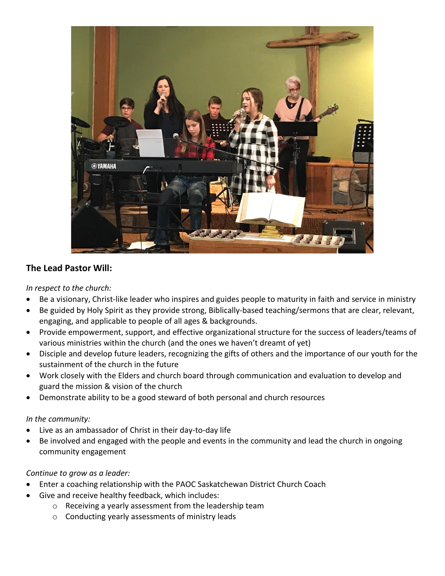

#### **The Lead Pastor Will:**

*In respect to the church:*

- Be a visionary, Christ-like leader who inspires and guides people to maturity in faith and service in ministry
- Be guided by Holy Spirit as they provide strong, Biblically-based teaching/sermons that are clear, relevant, engaging, and applicable to people of all ages & backgrounds.
- Provide empowerment, support, and effective organizational structure for the success of leaders/teams of various ministries within the church (and the ones we haven't dreamt of yet)
- Disciple and develop future leaders, recognizing the gifts of others and the importance of our youth for the sustainment of the church in the future
- Work closely with the Elders and church board through communication and evaluation to develop and guard the mission & vision of the church
- Demonstrate ability to be a good steward of both personal and church resources

#### *In the community:*

- Live as an ambassador of Christ in their day-to-day life
- Be involved and engaged with the people and events in the community and lead the church in ongoing community engagement

#### *Continue to grow as a leader:*

- Enter a coaching relationship with the PAOC Saskatchewan District Church Coach
- Give and receive healthy feedback, which includes:
	- o Receiving a yearly assessment from the leadership team
	- o Conducting yearly assessments of ministry leads